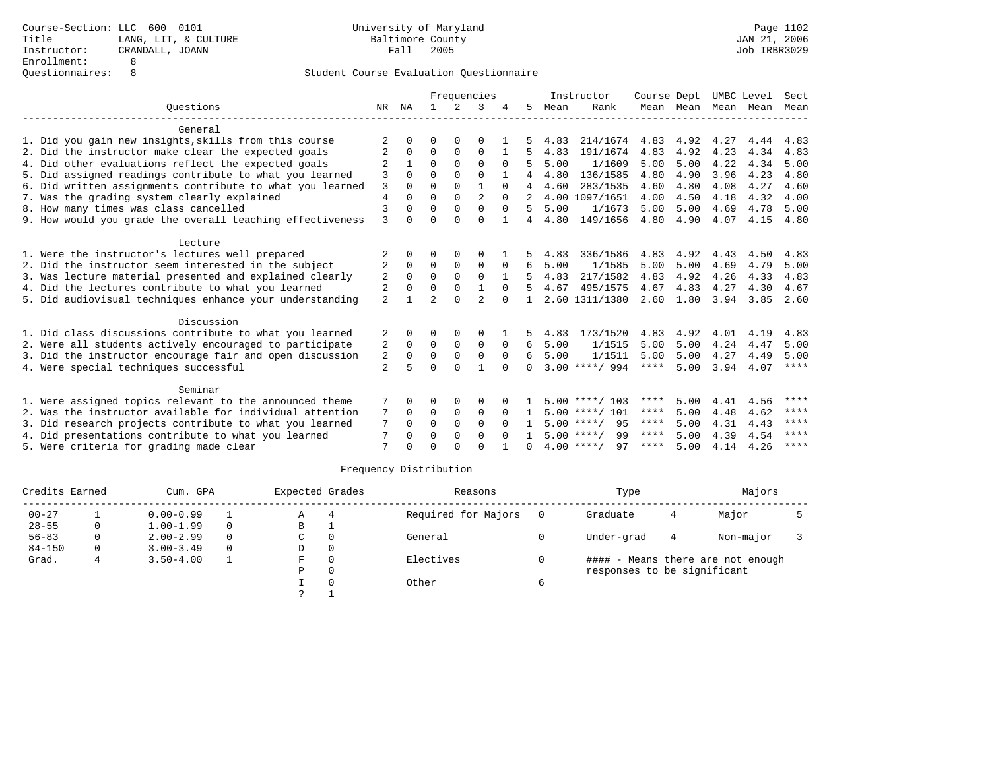## Student Course Evaluation Questionnaire

|                                                           |                |              | Frequencies    |                |                |          |    |      | Instructor         | Course Dept |           | UMBC Level |      | Sect        |
|-----------------------------------------------------------|----------------|--------------|----------------|----------------|----------------|----------|----|------|--------------------|-------------|-----------|------------|------|-------------|
| Ouestions<br>NR                                           |                |              |                | $\overline{2}$ | 3              |          | 5. | Mean | Rank               |             | Mean Mean | Mean       | Mean | Mean        |
| General                                                   |                |              |                |                |                |          |    |      |                    |             |           |            |      |             |
| 1. Did you gain new insights, skills from this course     |                | <sup>n</sup> | 0              | $\Omega$       | $\Omega$       |          |    | 4.83 | 214/1674           | 4.83        | 4.92      | 4.27       | 4.44 | 4.83        |
| 2. Did the instructor make clear the expected goals       | 2              | $\Omega$     | $\Omega$       | $\Omega$       | $\Omega$       | 1        |    | 4.83 | 191/1674           | 4.83        | 4.92      | 4.23       | 4.34 | 4.83        |
| 4. Did other evaluations reflect the expected goals       |                |              | $\Omega$       | $\Omega$       | $\Omega$       | $\Omega$ | 5  | 5.00 | 1/1609             | 5.00        | 5.00      | 4.22       | 4.34 | 5.00        |
| 5. Did assigned readings contribute to what you learned   | 3              | $\Omega$     | $\Omega$       | $\Omega$       | $\Omega$       |          |    | 4.80 | 136/1585           | 4.80        | 4.90      | 3.96       | 4.23 | 4.80        |
| 6. Did written assignments contribute to what you learned | 3              | $\Omega$     | $\Omega$       | $\Omega$       | $\mathbf{1}$   | $\Omega$ | 4  | 4.60 | 283/1535           | 4.60        | 4.80      | 4.08       | 4.27 | 4.60        |
| 7. Was the grading system clearly explained               | $\overline{4}$ | $\Omega$     | $\Omega$       | $\Omega$       | $\overline{a}$ | $\Omega$ |    |      | 4.00 1097/1651     | 4.00        | 4.50      | 4.18       | 4.32 | 4.00        |
| 8. How many times was class cancelled                     | 3              | $\cap$       | $\Omega$       | $\Omega$       | $\Omega$       | $\Omega$ | 5. | 5.00 | 1/1673             | 5.00        | 5.00      | 4.69       | 4.78 | 5.00        |
| 9. How would you grade the overall teaching effectiveness | 3              | 0            | $\Omega$       | $\cap$         | $\Omega$       |          | 4  | 4.80 | 149/1656           | 4.80        | 4.90      | 4.07       | 4.15 | 4.80        |
| Lecture                                                   |                |              |                |                |                |          |    |      |                    |             |           |            |      |             |
| 1. Were the instructor's lectures well prepared           |                | 0            | O              | 0              | $\Omega$       |          |    | 4.83 | 336/1586           | 4.83        | 4.92      | 4.43       | 4.50 | 4.83        |
| 2. Did the instructor seem interested in the subject      | 2              | $\Omega$     | $\mathbf 0$    | $\mathbf 0$    | $\mathbf 0$    | 0        | 6  | 5.00 | 1/1585             | 5.00        | 5.00      | 4.69       | 4.79 | 5.00        |
| 3. Was lecture material presented and explained clearly   | $\overline{2}$ | $\Omega$     | $\Omega$       | $\Omega$       | $\Omega$       |          |    | 4.83 | 217/1582           | 4.83        | 4.92      | 4.26       | 4.33 | 4.83        |
| 4. Did the lectures contribute to what you learned        | $\overline{2}$ | $\Omega$     | $\Omega$       | $\Omega$       | $\mathbf{1}$   | $\Omega$ |    | 4.67 | 495/1575           | 4.67        | 4.83      | 4.27       | 4.30 | 4.67        |
| 5. Did audiovisual techniques enhance your understanding  | $\overline{a}$ |              | $\overline{a}$ | $\Omega$       | $\mathfrak{D}$ | $\Omega$ |    |      | 2.60 1311/1380     | 2.60        | 1.80      | 3.94       | 3.85 | 2.60        |
| Discussion                                                |                |              |                |                |                |          |    |      |                    |             |           |            |      |             |
| 1. Did class discussions contribute to what you learned   | 2              | 0            | 0              | 0              | 0              |          | 5. | 4.83 | 173/1520           | 4.83        | 4.92      | 4.01       | 4.19 | 4.83        |
| 2. Were all students actively encouraged to participate   | 2              | $\Omega$     | 0              | $\Omega$       | $\Omega$       | $\Omega$ | 6  | 5.00 | 1/1515             | 5.00        | 5.00      | 4.24       | 4.47 | 5.00        |
| 3. Did the instructor encourage fair and open discussion  | 2              | $\Omega$     | $\Omega$       | $\Omega$       | $\Omega$       | $\Omega$ | б. | 5.00 | 1/1511             | 5.00        | 5.00      | 4.27       | 4.49 | 5.00        |
| 4. Were special techniques successful                     | $\overline{a}$ |              | $\Omega$       | $\Omega$       |                | $\Omega$ | 0  |      | $3.00$ ****/ 994   | $***$ * * * | 5.00      | 3.94       | 4.07 | ****        |
| Seminar                                                   |                |              |                |                |                |          |    |      |                    |             |           |            |      |             |
| 1. Were assigned topics relevant to the announced theme   | 7              | O            | 0              | 0              | 0              |          |    |      | $5.00$ ****/ 103   | ****        | 5.00      | 4.41       | 4.56 | $***$ * * * |
| 2. Was the instructor available for individual attention  | 7              | 0            | 0              | $\mathbf 0$    | $\Omega$       | $\Omega$ |    |      | $5.00$ ****/ 101   | ****        | 5.00      | 4.48       | 4.62 | ****        |
| 3. Did research projects contribute to what you learned   | 7              | 0            | $\Omega$       | $\Omega$       | $\Omega$       | $\Omega$ |    |      | $5.00$ ****/<br>95 | $***$ * * * | 5.00      | 4.31       | 4.43 | ****        |
| 4. Did presentations contribute to what you learned       |                | 0            | $\Omega$       | $\Omega$       | $\Omega$       | $\Omega$ |    |      | $5.00$ ****/<br>99 | ****        | 5.00      | 4.39       | 4.54 | ****        |
| 5. Were criteria for grading made clear                   | 7              |              | $\cap$         | $\cap$         | $\cap$         |          |    |      | $4.00$ ****/<br>97 | ****        | 5.00      | 4.14       | 4.26 | ****        |

## Frequency Distribution

| Credits Earned |          | Cum. GPA      |          |    | Expected Grades | Reasons             |     | Type                        | Majors |                                   |  |
|----------------|----------|---------------|----------|----|-----------------|---------------------|-----|-----------------------------|--------|-----------------------------------|--|
| $00 - 27$      |          | $0.00 - 0.99$ |          | Α  | 4               | Required for Majors | - 0 | Graduate                    | 4      | Major                             |  |
| $28 - 55$      | 0        | $1.00 - 1.99$ | $\Omega$ | в  |                 |                     |     |                             |        |                                   |  |
| $56 - 83$      | 0        | $2.00 - 2.99$ | $\Omega$ | C  | $\Omega$        | General             |     | Under-grad                  | 4      | Non-major                         |  |
| $84 - 150$     | $\Omega$ | $3.00 - 3.49$ | $\Omega$ | D  | 0               |                     |     |                             |        |                                   |  |
| Grad.          | 4        | $3.50 - 4.00$ |          | F. | $\Omega$        | Electives           |     |                             |        | #### - Means there are not enough |  |
|                |          |               |          | Ρ  | 0               |                     |     | responses to be significant |        |                                   |  |
|                |          |               |          |    |                 | Other               | 6   |                             |        |                                   |  |
|                |          |               |          |    |                 |                     |     |                             |        |                                   |  |